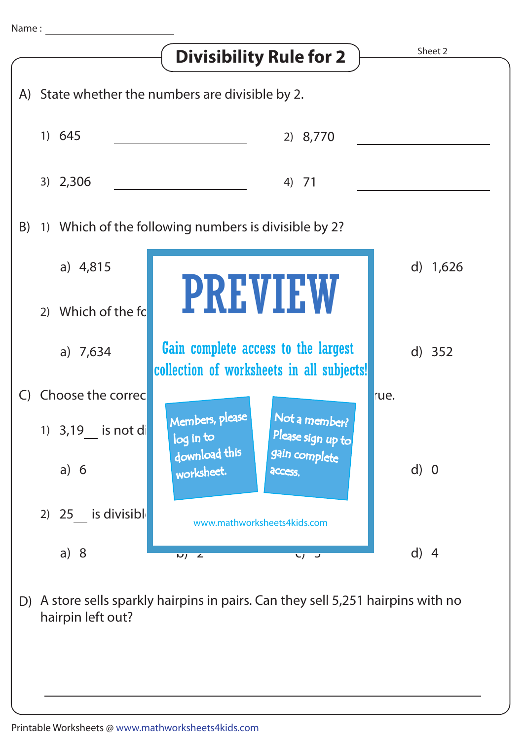

A store sells sparkly hairpins in pairs. Can they sell 5,251 hairpins with no D) hairpin left out?